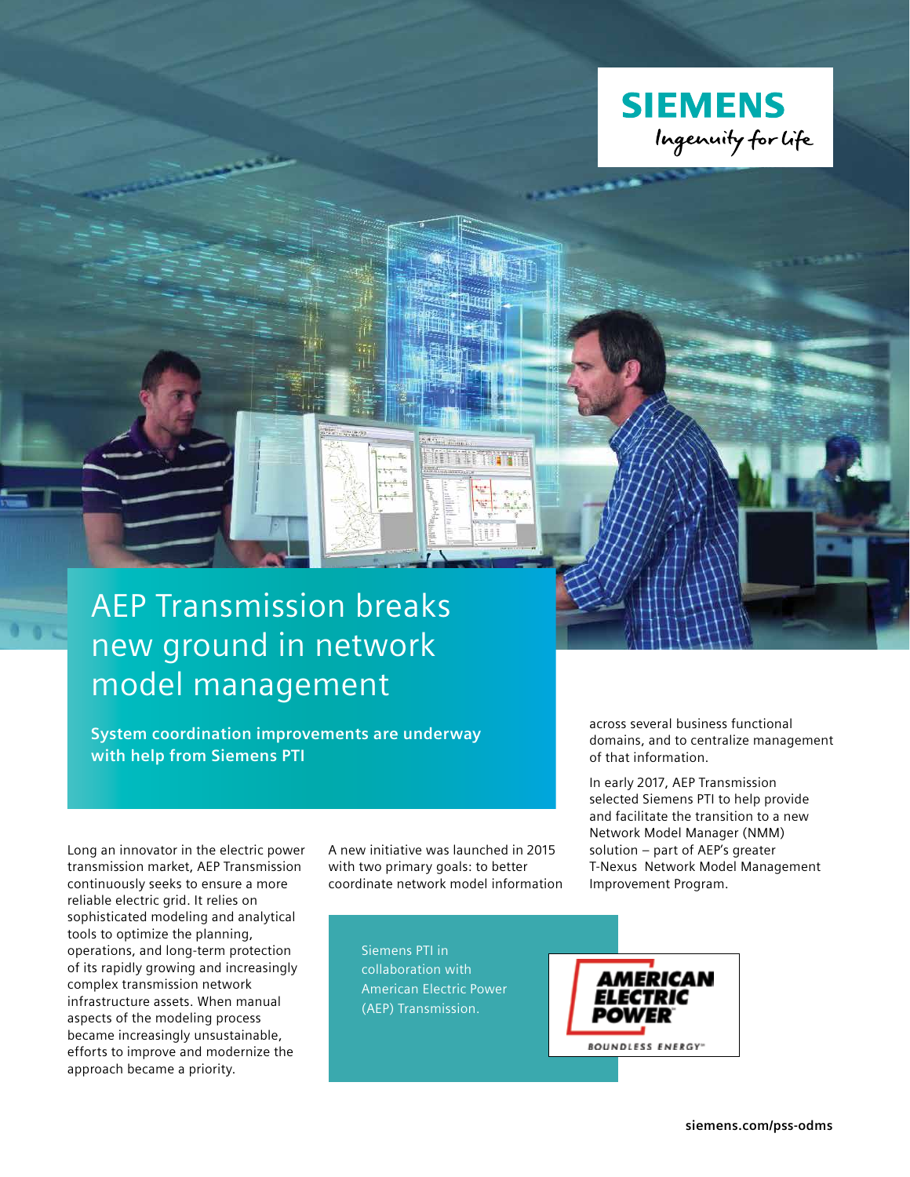

# AEP Transmission breaks new ground in network model management

**System coordination improvements are underway with help from Siemens PTI**

across several business functional domains, and to centralize management of that information.

In early 2017, AEP Transmission selected Siemens PTI to help provide and facilitate the transition to a new Network Model Manager (NMM) solution – part of AEP's greater T-Nexus Network Model Management Improvement Program.

Long an innovator in the electric power transmission market, AEP Transmission continuously seeks to ensure a more reliable electric grid. It relies on sophisticated modeling and analytical tools to optimize the planning, operations, and long-term protection of its rapidly growing and increasingly complex transmission network infrastructure assets. When manual aspects of the modeling process became increasingly unsustainable, efforts to improve and modernize the approach became a priority.

A new initiative was launched in 2015 with two primary goals: to better coordinate network model information

> Siemens PTI in collaboration with American Electric Power (AEP) Transmission.

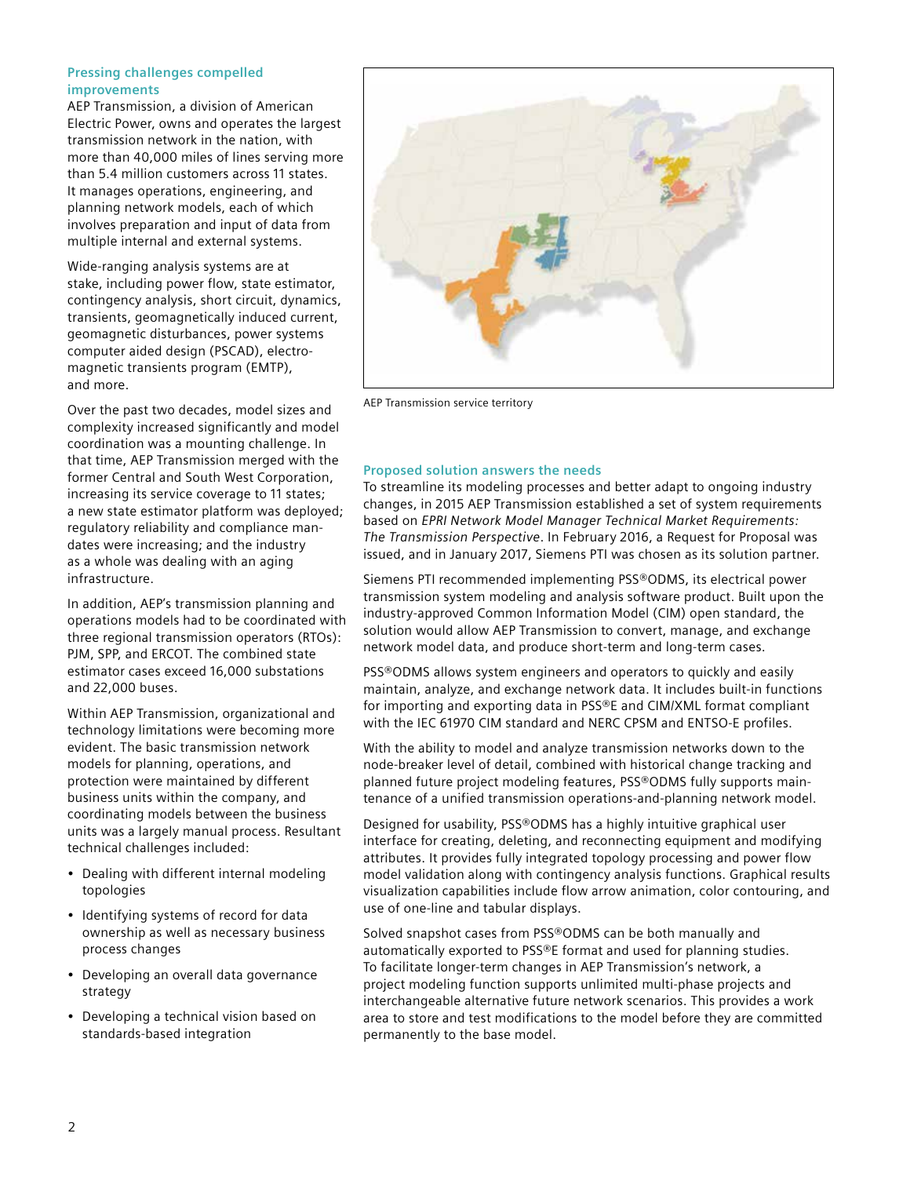### **Pressing challenges compelled improvements**

AEP Transmission, a division of American Electric Power, owns and operates the largest transmission network in the nation, with more than 40,000 miles of lines serving more than 5.4 million customers across 11 states. It manages operations, engineering, and planning network models, each of which involves preparation and input of data from multiple internal and external systems.

Wide-ranging analysis systems are at stake, including power flow, state estimator, contingency analysis, short circuit, dynamics, transients, geomagnetically induced current, geomagnetic disturbances, power systems computer aided design (PSCAD), electromagnetic transients program (EMTP), and more.

Over the past two decades, model sizes and complexity increased significantly and model coordination was a mounting challenge. In that time, AEP Transmission merged with the former Central and South West Corporation, increasing its service coverage to 11 states; a new state estimator platform was deployed; regulatory reliability and compliance mandates were increasing; and the industry as a whole was dealing with an aging infrastructure.

In addition, AEP's transmission planning and operations models had to be coordinated with three regional transmission operators (RTOs): PJM, SPP, and ERCOT. The combined state estimator cases exceed 16,000 substations and 22,000 buses.

Within AEP Transmission, organizational and technology limitations were becoming more evident. The basic transmission network models for planning, operations, and protection were maintained by different business units within the company, and coordinating models between the business units was a largely manual process. Resultant technical challenges included:

- Dealing with different internal modeling topologies
- Identifying systems of record for data ownership as well as necessary business process changes
- Developing an overall data governance strategy
- Developing a technical vision based on standards-based integration



AEP Transmission service territory

# **Proposed solution answers the needs**

To streamline its modeling processes and better adapt to ongoing industry changes, in 2015 AEP Transmission established a set of system requirements based on *EPRI Network Model Manager Technical Market Requirements: The Transmission Perspective*. In February 2016, a Request for Proposal was issued, and in January 2017, Siemens PTI was chosen as its solution partner.

Siemens PTI recommended implementing PSS®ODMS, its electrical power transmission system modeling and analysis software product. Built upon the industry-approved Common Information Model (CIM) open standard, the solution would allow AEP Transmission to convert, manage, and exchange network model data, and produce short-term and long-term cases.

PSS®ODMS allows system engineers and operators to quickly and easily maintain, analyze, and exchange network data. It includes built-in functions for importing and exporting data in PSS®E and CIM/XML format compliant with the IEC 61970 CIM standard and NERC CPSM and ENTSO-E profiles.

With the ability to model and analyze transmission networks down to the node-breaker level of detail, combined with historical change tracking and planned future project modeling features, PSS®ODMS fully supports maintenance of a unified transmission operations-and-planning network model.

Designed for usability, PSS®ODMS has a highly intuitive graphical user interface for creating, deleting, and reconnecting equipment and modifying attributes. It provides fully integrated topology processing and power flow model validation along with contingency analysis functions. Graphical results visualization capabilities include flow arrow animation, color contouring, and use of one-line and tabular displays.

Solved snapshot cases from PSS®ODMS can be both manually and automatically exported to PSS®E format and used for planning studies. To facilitate longer-term changes in AEP Transmission's network, a project modeling function supports unlimited multi-phase projects and interchangeable alternative future network scenarios. This provides a work area to store and test modifications to the model before they are committed permanently to the base model.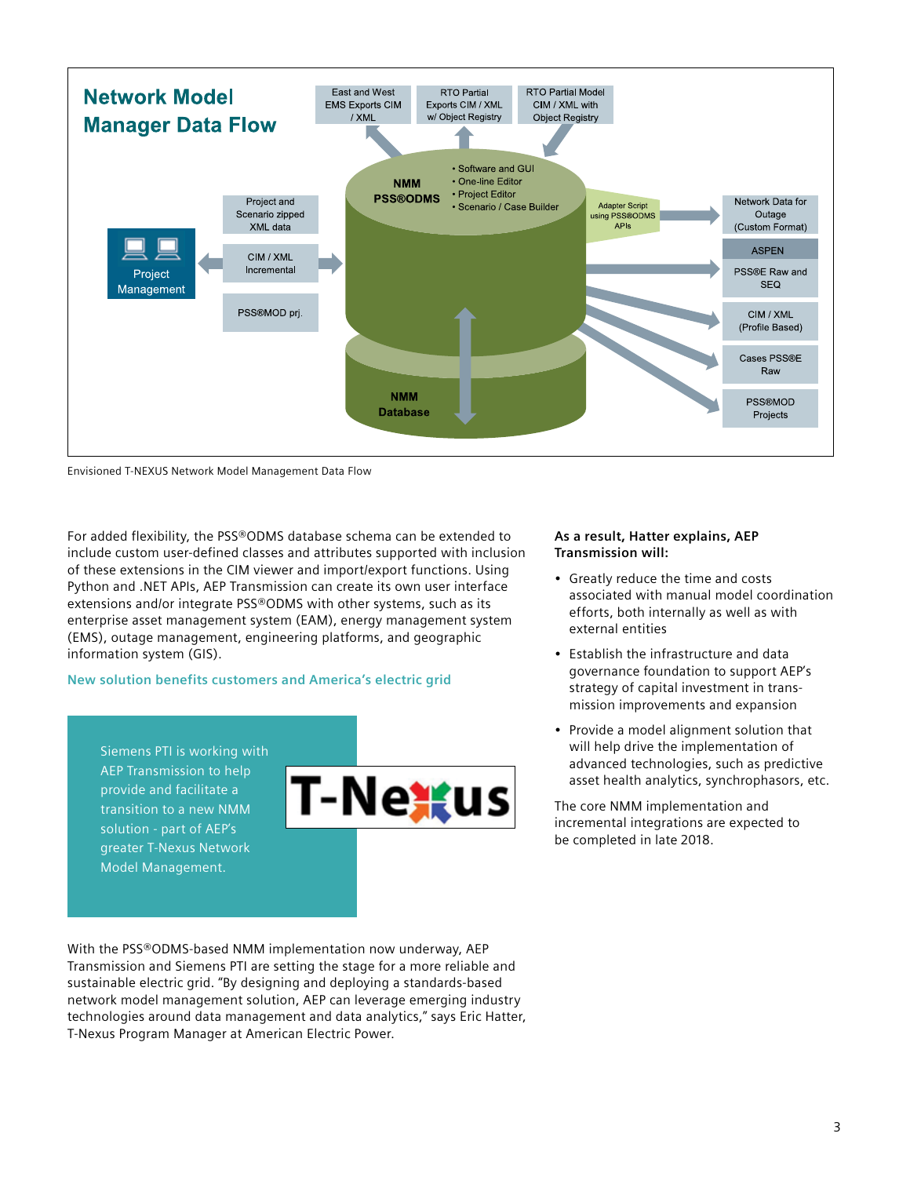

Envisioned T-NEXUS Network Model Management Data Flow

For added flexibility, the PSS®ODMS database schema can be extended to include custom user-defined classes and attributes supported with inclusion of these extensions in the CIM viewer and import/export functions. Using Python and .NET APIs, AEP Transmission can create its own user interface extensions and/or integrate PSS®ODMS with other systems, such as its enterprise asset management system (EAM), energy management system (EMS), outage management, engineering platforms, and geographic information system (GIS).

## **New solution benefits customers and America's electric grid**

Siemens PTI is working with AEP Transmission to help provide and facilitate a transition to a new NMM solution - part of AEP's greater T-Nexus Network Model Management.



With the PSS®ODMS-based NMM implementation now underway, AEP Transmission and Siemens PTI are setting the stage for a more reliable and sustainable electric grid. "By designing and deploying a standards-based network model management solution, AEP can leverage emerging industry technologies around data management and data analytics," says Eric Hatter, T-Nexus Program Manager at American Electric Power.

#### **As a result, Hatter explains, AEP Transmission will:**

- Greatly reduce the time and costs associated with manual model coordination efforts, both internally as well as with external entities
- Establish the infrastructure and data governance foundation to support AEP's strategy of capital investment in transmission improvements and expansion
- Provide a model alignment solution that will help drive the implementation of advanced technologies, such as predictive asset health analytics, synchrophasors, etc.

The core NMM implementation and incremental integrations are expected to be completed in late 2018.